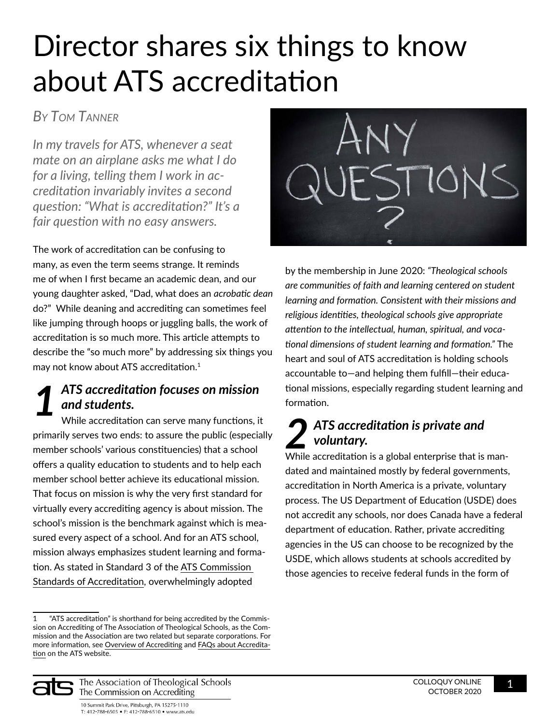# Director shares six things to know about ATS accreditation

## *By Tom Tanner*

*In my travels for ATS, whenever a seat mate on an airplane asks me what I do for a living, telling them I work in accreditation invariably invites a second question: "What is accreditation?" It's a fair question with no easy answers.*

The work of accreditation can be confusing to many, as even the term seems strange. It reminds me of when I first became an academic dean, and our young daughter asked, "Dad, what does an *acrobatic dean* do?" While deaning and accrediting can sometimes feel like jumping through hoops or juggling balls, the work of accreditation is so much more. This article attempts to describe the "so much more" by addressing six things you may not know about ATS accreditation.<sup>1</sup>

#### *ATS accreditation focuses on mission and students. 1*

While accreditation can serve many functions, it primarily serves two ends: to assure the public (especially member schools' various constituencies) that a school offers a quality education to students and to help each member school better achieve its educational mission. That focus on mission is why the very first standard for virtually every accrediting agency is about mission. The school's mission is the benchmark against which is measured every aspect of a school. And for an ATS school, mission always emphasizes student learning and formation. As stated in Standard 3 of the [ATS Commission](https://www.ats.edu/uploads/accrediting/documents/standards-of-accreditation.pdf)  [Standards of Accreditation](https://www.ats.edu/uploads/accrediting/documents/standards-of-accreditation.pdf), overwhelmingly adopted



by the membership in June 2020: *"Theological schools are communities of faith and learning centered on student learning and formation. Consistent with their missions and religious identities, theological schools give appropriate attention to the intellectual, human, spiritual, and vocational dimensions of student learning and formation."* The heart and soul of ATS accreditation is holding schools accountable to—and helping them fulfill—their educational missions, especially regarding student learning and formation.

#### *ATS accreditation is private and voluntary.* **2 ATS accreditation is private and<br>** *2* **voluntary.**<br>
While accreditation is a global enterprise that is man-

dated and maintained mostly by federal governments, accreditation in North America is a private, voluntary process. The US Department of Education (USDE) does not accredit any schools, nor does Canada have a federal department of education. Rather, private accrediting agencies in the US can choose to be recognized by the USDE, which allows students at schools accredited by those agencies to receive federal funds in the form of



The Association of Theological Schools The Commission on Accrediting

<sup>1</sup> "ATS accreditation" is shorthand for being accredited by the Commission on Accrediting of The Association of Theological Schools, as the Commission and the Association are two related but separate corporations. For more information, see [Overview of Accrediting](https://www.ats.edu/accrediting/overview-accrediting) and [FAQs about Accredita](https://www.ats.edu/accrediting/overview-accrediting/faqs-about-accreditation)[tion](https://www.ats.edu/accrediting/overview-accrediting/faqs-about-accreditation) on the ATS website.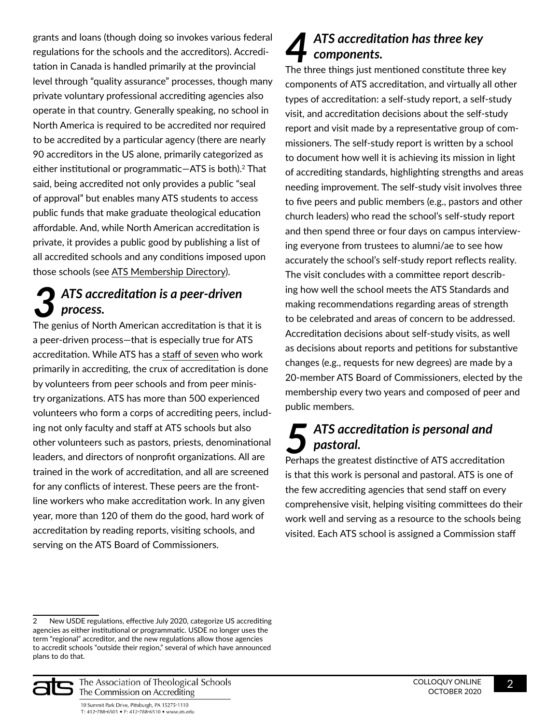grants and loans (though doing so invokes various federal regulations for the schools and the accreditors). Accreditation in Canada is handled primarily at the provincial level through "quality assurance" processes, though many private voluntary professional accrediting agencies also operate in that country. Generally speaking, no school in North America is required to be accredited nor required to be accredited by a particular agency (there are nearly 90 accreditors in the US alone, primarily categorized as either institutional or programmatic-ATS is both).<sup>2</sup> That said, being accredited not only provides a public "seal of approval" but enables many ATS students to access public funds that make graduate theological education affordable. And, while North American accreditation is private, it provides a public good by publishing a list of all accredited schools and any conditions imposed upon those schools (see [ATS Membership Directory\)](https://www.ats.edu/member-schools/member-school-list).

### *ATS accreditation is a peer-driven process.* **3 ATS accreditation is a peer-driven**<br>The genius of North American accreditation is that it is

a peer-driven process—that is especially true for ATS accreditation. While ATS has a [staff of seven](https://www.ats.edu/contact-us) who work primarily in accrediting, the crux of accreditation is done by volunteers from peer schools and from peer ministry organizations. ATS has more than 500 experienced volunteers who form a corps of accrediting peers, including not only faculty and staff at ATS schools but also other volunteers such as pastors, priests, denominational leaders, and directors of nonprofit organizations. All are trained in the work of accreditation, and all are screened for any conflicts of interest. These peers are the frontline workers who make accreditation work. In any given year, more than 120 of them do the good, hard work of accreditation by reading reports, visiting schools, and serving on the ATS Board of Commissioners.

#### *ATS accreditation has three key components.* **475 accreditation has three key<br>The three things just mentioned constitute three key**

components of ATS accreditation, and virtually all other types of accreditation: a self-study report, a self-study visit, and accreditation decisions about the self-study report and visit made by a representative group of commissioners. The self-study report is written by a school to document how well it is achieving its mission in light of accrediting standards, highlighting strengths and areas needing improvement. The self-study visit involves three to five peers and public members (e.g., pastors and other church leaders) who read the school's self-study report and then spend three or four days on campus interviewing everyone from trustees to alumni/ae to see how accurately the school's self-study report reflects reality. The visit concludes with a committee report describing how well the school meets the ATS Standards and making recommendations regarding areas of strength to be celebrated and areas of concern to be addressed. Accreditation decisions about self-study visits, as well as decisions about reports and petitions for substantive changes (e.g., requests for new degrees) are made by a 20-member ATS Board of Commissioners, elected by the membership every two years and composed of peer and public members.

### *ATS accreditation is personal and pastoral.* **5** ATS accreditation is personal and<br>Perhaps the greatest distinctive of ATS accreditation

is that this work is personal and pastoral. ATS is one of the few accrediting agencies that send staff on every comprehensive visit, helping visiting committees do their work well and serving as a resource to the schools being visited. Each ATS school is assigned a Commission staff

<sup>2</sup> New USDE regulations, effective July 2020, categorize US accrediting agencies as either institutional or programmatic. USDE no longer uses the term "regional" accreditor, and the new regulations allow those agencies to accredit schools "outside their region," several of which have announced plans to do that.



The Association of Theological Schools The Commission on Accrediting